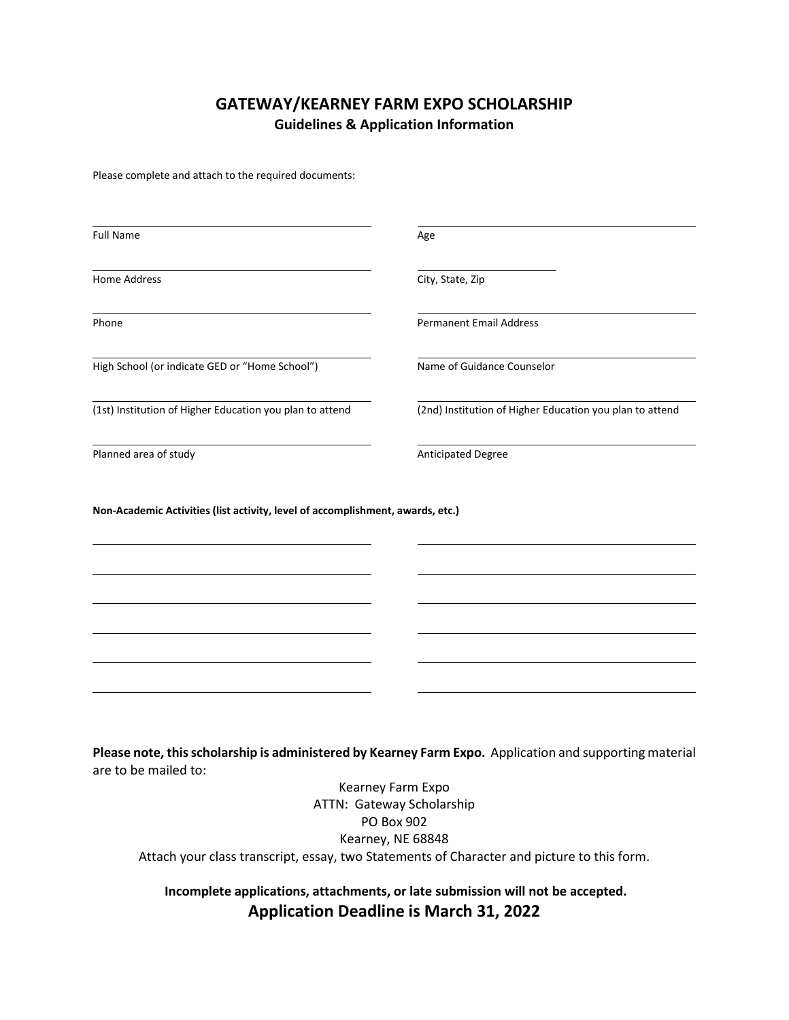## **GATEWAY/KEARNEY FARM EXPO SCHOLARSHIP Guidelines & Application Information**

Please complete and attach to the required documents:

| <b>Full Name</b>                                                                                        | Age                                                      |
|---------------------------------------------------------------------------------------------------------|----------------------------------------------------------|
| <b>Home Address</b>                                                                                     | City, State, Zip                                         |
| Phone                                                                                                   | <b>Permanent Email Address</b>                           |
| High School (or indicate GED or "Home School")                                                          | Name of Guidance Counselor                               |
| (1st) Institution of Higher Education you plan to attend                                                | (2nd) Institution of Higher Education you plan to attend |
|                                                                                                         |                                                          |
| Planned area of study<br>Non-Academic Activities (list activity, level of accomplishment, awards, etc.) | Anticipated Degree                                       |
|                                                                                                         |                                                          |
|                                                                                                         |                                                          |
|                                                                                                         |                                                          |
|                                                                                                         |                                                          |
|                                                                                                         |                                                          |

are to be mailed to: Kearney Farm Expo ATTN: Gateway Scholarship

PO Box 902 Kearney, NE 68848 Attach your class transcript, essay, two Statements of Character and picture to this form.

**Incomplete applications, attachments, or late submission will not be accepted. Application Deadline is March 31, 2022**